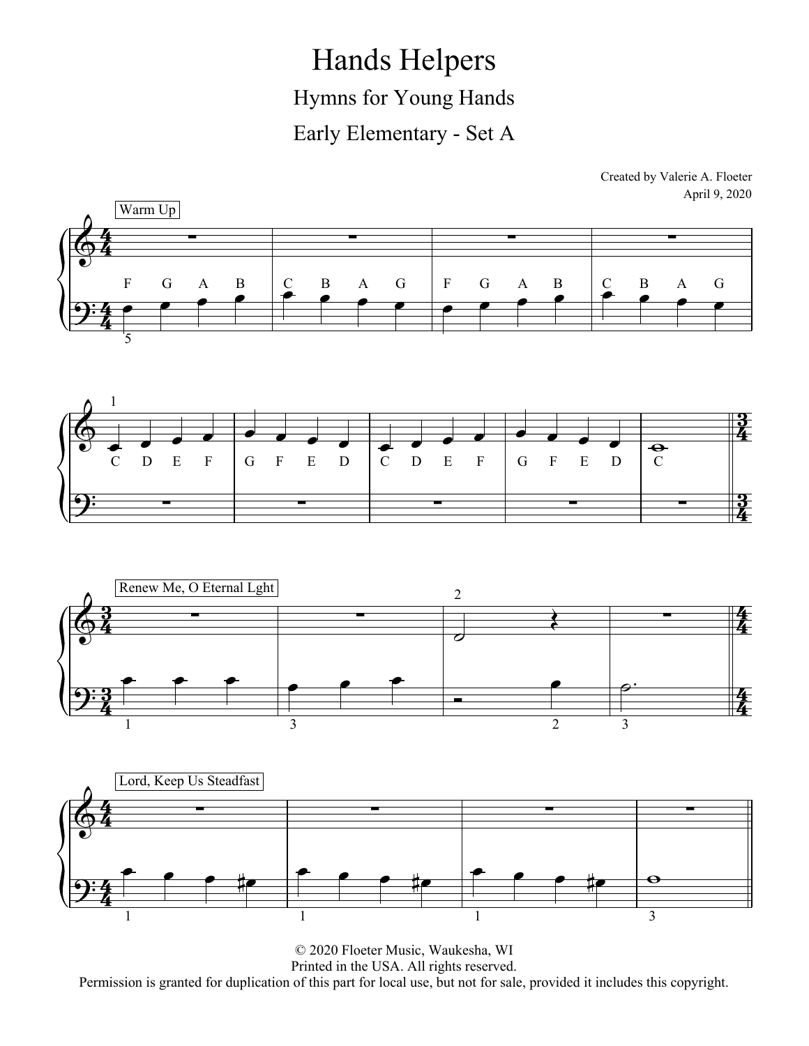Hands Helpers Hymns for Young Hands Early Elementary - Set A









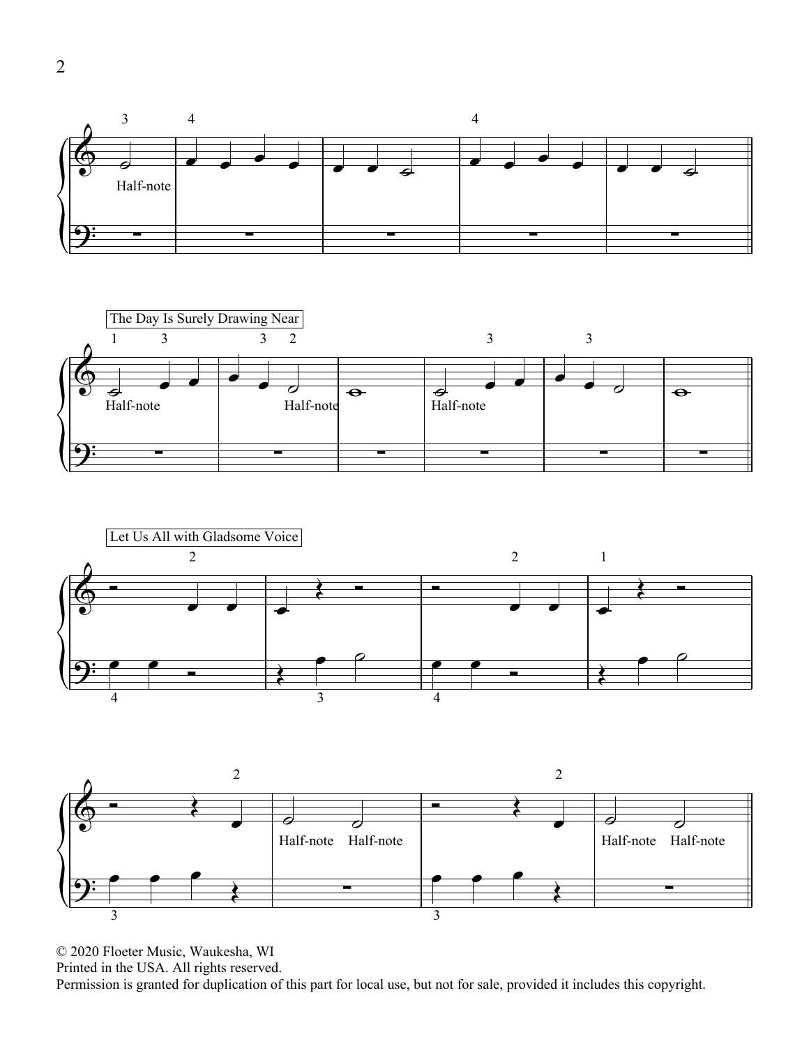





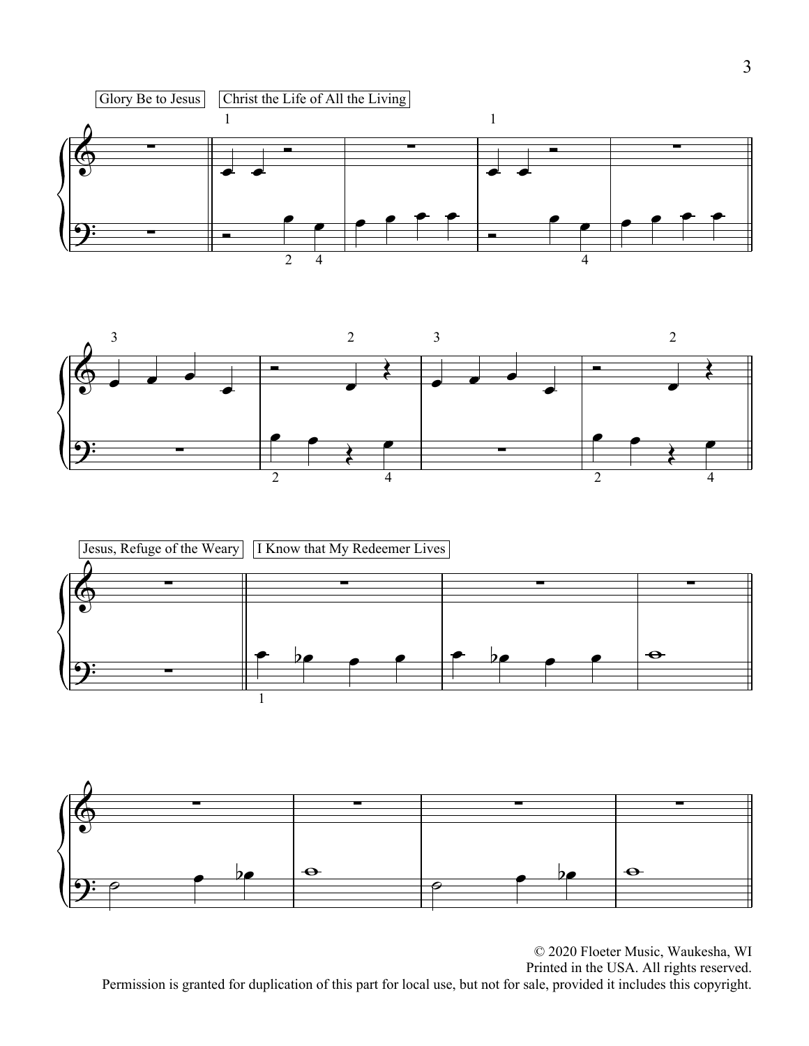





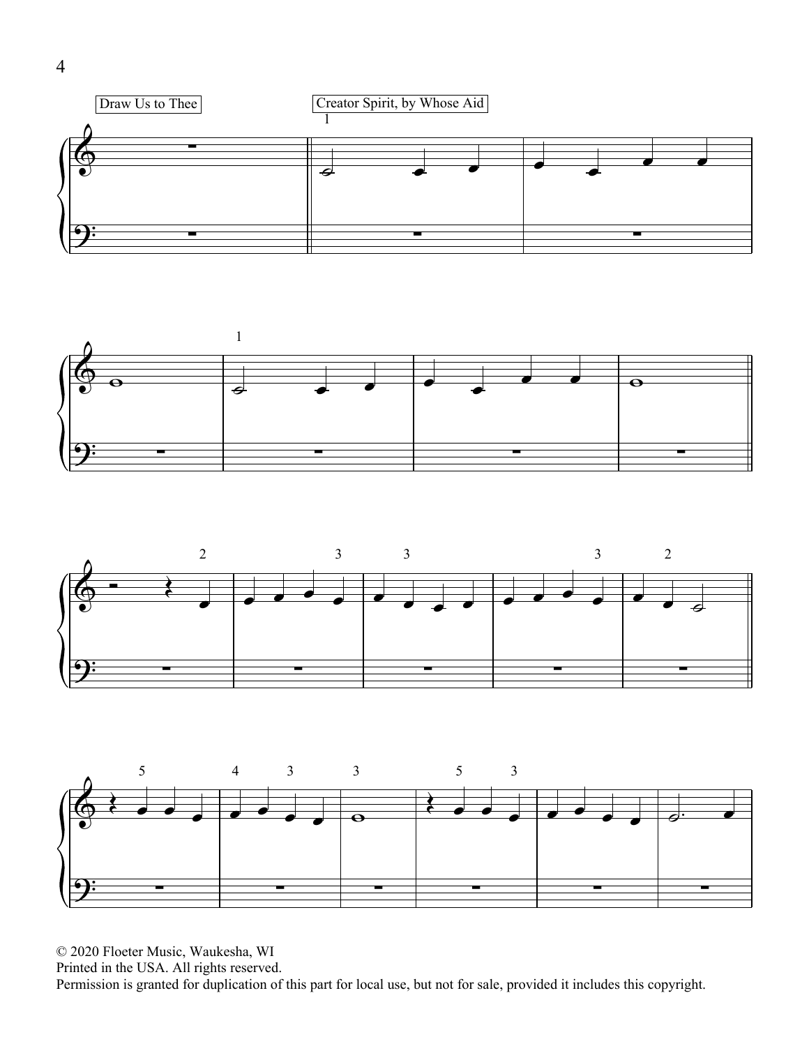





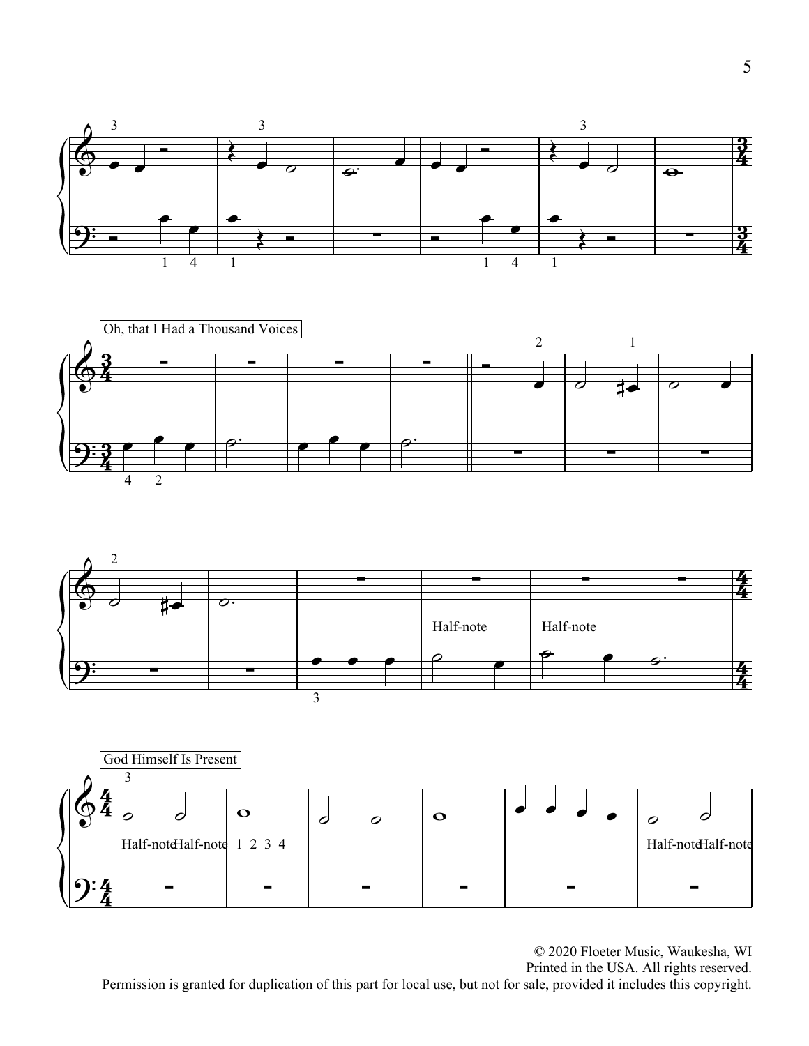